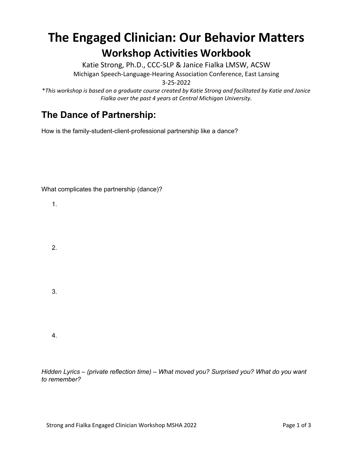## **The Engaged Clinician: Our Behavior Matters Workshop Activities Workbook**

Katie Strong, Ph.D., CCC-SLP & Janice Fialka LMSW, ACSW Michigan Speech-Language-Hearing Association Conference, East Lansing

3-25-2022

\**This workshop is based on a graduate course created by Katie Strong and facilitated by Katie and Janice Fialka over the past 4 years at Central Michigan University.*

## **The Dance of Partnership:**

How is the family-student-client-professional partnership like a dance?

What complicates the partnership (dance)?

1.

2.

3.

4.

*Hidden Lyrics – (private reflection time) – What moved you? Surprised you? What do you want to remember?*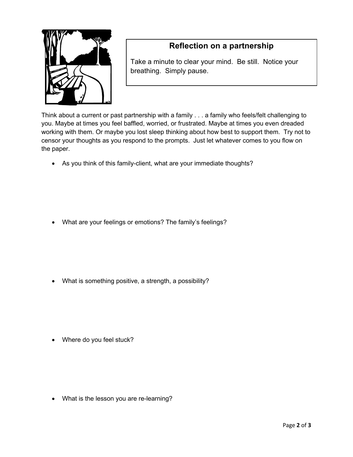

## **Reflection on a partnership**

Take a minute to clear your mind. Be still. Notice your breathing. Simply pause.

Think about a current or past partnership with a family . . . a family who feels/felt challenging to you. Maybe at times you feel baffled, worried, or frustrated. Maybe at times you even dreaded working with them. Or maybe you lost sleep thinking about how best to support them. Try not to censor your thoughts as you respond to the prompts. Just let whatever comes to you flow on the paper.

• As you think of this family-client, what are your immediate thoughts?

• What are your feelings or emotions? The family's feelings?

• What is something positive, a strength, a possibility?

• Where do you feel stuck?

• What is the lesson you are re-learning?